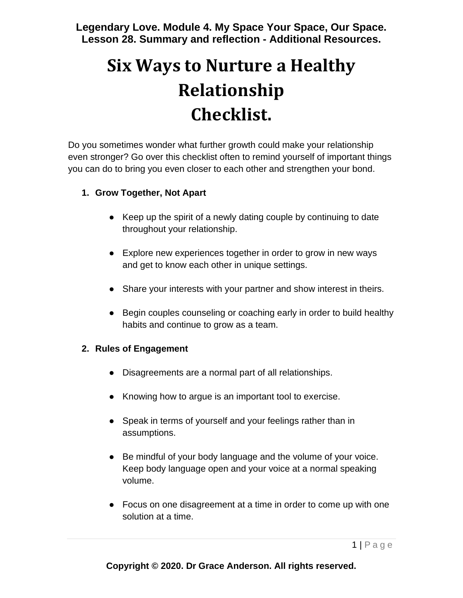**Legendary Love. Module 4. My Space Your Space, Our Space. Lesson 28. Summary and reflection - Additional Resources.**

# **Six Ways to Nurture a Healthy Relationship Checklist.**

Do you sometimes wonder what further growth could make your relationship even stronger? Go over this checklist often to remind yourself of important things you can do to bring you even closer to each other and strengthen your bond.

#### **1. Grow Together, Not Apart**

- Keep up the spirit of a newly dating couple by continuing to date throughout your relationship.
- Explore new experiences together in order to grow in new ways and get to know each other in unique settings.
- Share your interests with your partner and show interest in theirs.
- Begin couples counseling or coaching early in order to build healthy habits and continue to grow as a team.

## **2. Rules of Engagement**

- Disagreements are a normal part of all relationships.
- Knowing how to argue is an important tool to exercise.
- Speak in terms of yourself and your feelings rather than in assumptions.
- Be mindful of your body language and the volume of your voice. Keep body language open and your voice at a normal speaking volume.
- Focus on one disagreement at a time in order to come up with one solution at a time.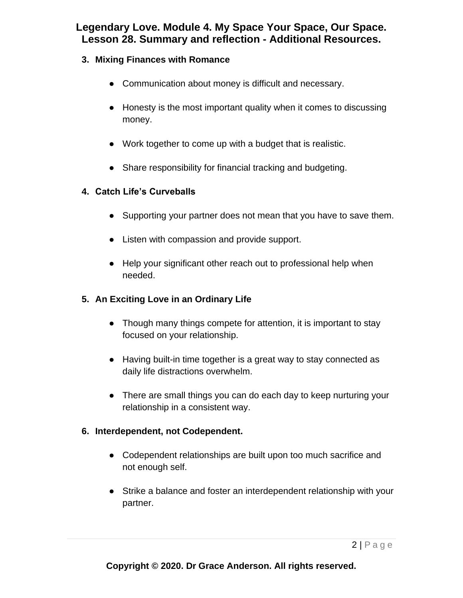# **Legendary Love. Module 4. My Space Your Space, Our Space. Lesson 28. Summary and reflection - Additional Resources.**

- **3. Mixing Finances with Romance**
	- Communication about money is difficult and necessary.
	- Honesty is the most important quality when it comes to discussing money.
	- Work together to come up with a budget that is realistic.
	- Share responsibility for financial tracking and budgeting.

#### **4. Catch Life's Curveballs**

- Supporting your partner does not mean that you have to save them.
- Listen with compassion and provide support.
- Help your significant other reach out to professional help when needed.

## **5. An Exciting Love in an Ordinary Life**

- Though many things compete for attention, it is important to stay focused on your relationship.
- Having built-in time together is a great way to stay connected as daily life distractions overwhelm.
- There are small things you can do each day to keep nurturing your relationship in a consistent way.

#### **6. Interdependent, not Codependent.**

- Codependent relationships are built upon too much sacrifice and not enough self.
- Strike a balance and foster an interdependent relationship with your partner.